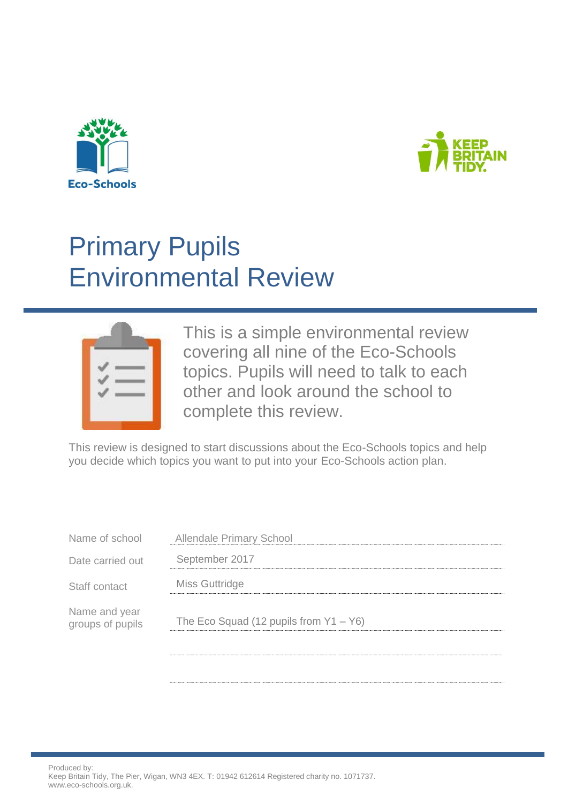



# Primary Pupils Environmental Review



This is a simple environmental review covering all nine of the Eco-Schools topics. Pupils will need to talk to each other and look around the school to complete this review.

This review is designed to start discussions about the Eco-Schools topics and help you decide which topics you want to put into your Eco-Schools action plan.

| Name of school                    | <b>Allendale Primary School</b>           |
|-----------------------------------|-------------------------------------------|
| Date carried out                  | September 2017                            |
| Staff contact                     | Miss Guttridge                            |
| Name and year<br>groups of pupils | The Eco Squad (12 pupils from $Y1 - Y6$ ) |
|                                   |                                           |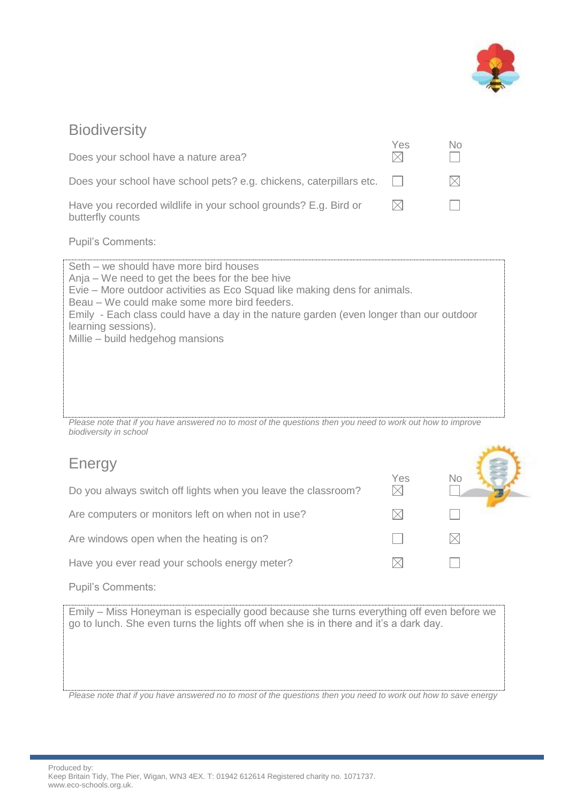

 $\sim$ 

#### **Biodiversity**

| Does your school have a nature area?                                                | <b>Yes</b> | No |
|-------------------------------------------------------------------------------------|------------|----|
| Does your school have school pets? e.g. chickens, caterpillars etc.                 |            |    |
| Have you recorded wildlife in your school grounds? E.g. Bird or<br>butterfly counts | IXI        |    |
| <b>Pupil's Comments:</b>                                                            |            |    |

Seth – we should have more bird houses Anja – We need to get the bees for the bee hive Evie – More outdoor activities as Eco Squad like making dens for animals. Beau – We could make some more bird feeders. Emily - Each class could have a day in the nature garden (even longer than our outdoor learning sessions). Millie – build hedgehog mansions

*Please note that if you have answered no to most of the questions then you need to work out how to improve biodiversity in school*

## Energy

| $-11$ $-1$ $-1$                                               |     | No |  |
|---------------------------------------------------------------|-----|----|--|
| Do you always switch off lights when you leave the classroom? | Yes |    |  |
| Are computers or monitors left on when not in use?            |     |    |  |
| Are windows open when the heating is on?                      |     |    |  |
| Have you ever read your schools energy meter?                 |     |    |  |

Pupil's Comments:

Emily – Miss Honeyman is especially good because she turns everything off even before we go to lunch. She even turns the lights off when she is in there and it's a dark day.

*Please note that if you have answered no to most of the questions then you need to work out how to save energy*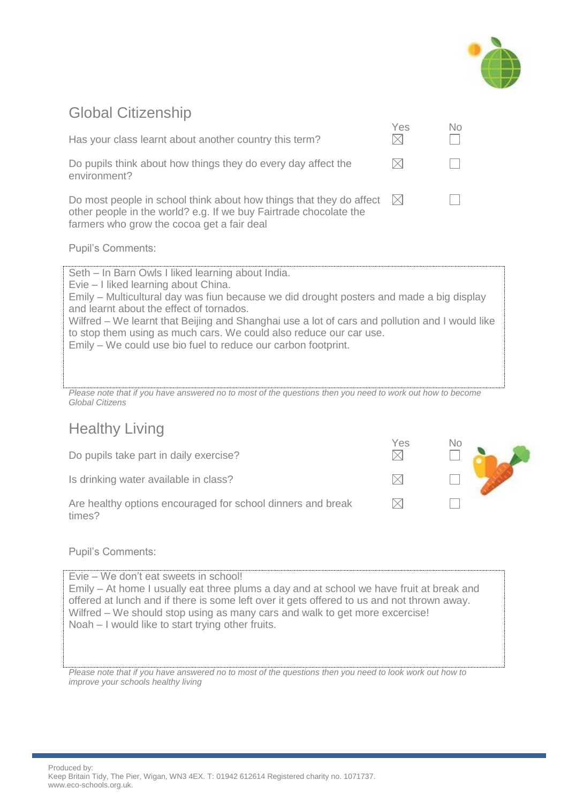

## Global Citizenship

| Has your class learnt about another country this term?                                                                                                                                                                                                                                                                                                                                                                                                                     | Yes | No |
|----------------------------------------------------------------------------------------------------------------------------------------------------------------------------------------------------------------------------------------------------------------------------------------------------------------------------------------------------------------------------------------------------------------------------------------------------------------------------|-----|----|
| Do pupils think about how things they do every day affect the<br>environment?                                                                                                                                                                                                                                                                                                                                                                                              |     |    |
| Do most people in school think about how things that they do affect $\boxtimes$<br>other people in the world? e.g. If we buy Fairtrade chocolate the<br>farmers who grow the cocoa get a fair deal                                                                                                                                                                                                                                                                         |     |    |
| <b>Pupil's Comments:</b>                                                                                                                                                                                                                                                                                                                                                                                                                                                   |     |    |
| Seth – In Barn Owls I liked learning about India.<br>Evie – I liked learning about China.<br>Emily – Multicultural day was fiun because we did drought posters and made a big display<br>and learnt about the effect of tornados.<br>Wilfred – We learnt that Beijing and Shanghai use a lot of cars and pollution and I would like<br>to stop them using as much cars. We could also reduce our car use.<br>Emily – We could use bio fuel to reduce our carbon footprint. |     |    |

*Please note that if you have answered no to most of the questions then you need to work out how to become Global Citizens*

## Healthy Living

Do pupils take part in daily exercise?

Is drinking water available in class?

Are healthy options encouraged for school dinners and break times?

| $Yes\n\n$ | No |  |
|-----------|----|--|
|           |    |  |
|           |    |  |

Pupil's Comments:

Evie – We don't eat sweets in school! Emily – At home I usually eat three plums a day and at school we have fruit at break and offered at lunch and if there is some left over it gets offered to us and not thrown away. Wilfred – We should stop using as many cars and walk to get more excercise! Noah – I would like to start trying other fruits.

*Please note that if you have answered no to most of the questions then you need to look work out how to improve your schools healthy living*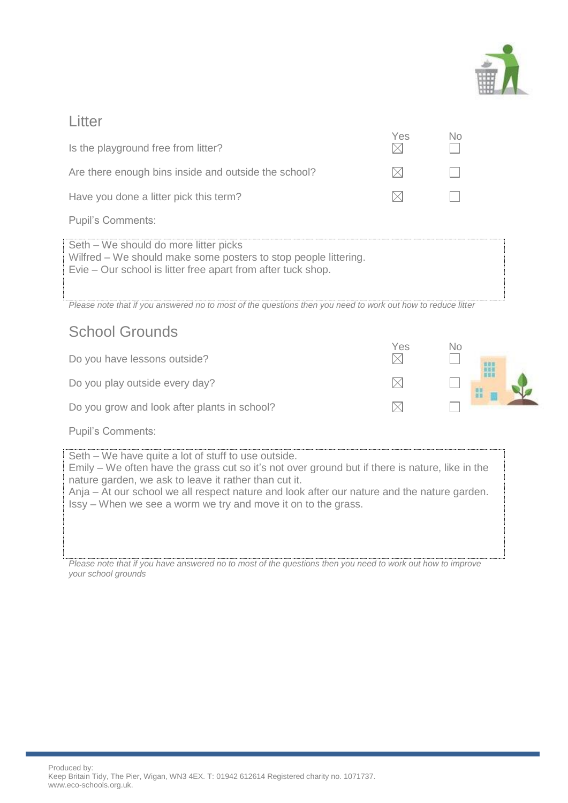

#### Litter

| Is the playground free from litter?                                                                                                                                      | Yes | Nο |
|--------------------------------------------------------------------------------------------------------------------------------------------------------------------------|-----|----|
| Are there enough bins inside and outside the school?                                                                                                                     |     |    |
| Have you done a litter pick this term?                                                                                                                                   |     |    |
| <b>Pupil's Comments:</b>                                                                                                                                                 |     |    |
| Seth – We should do more litter picks<br>Wilfred – We should make some posters to stop people littering.<br>Evie – Our school is litter free apart from after tuck shop. |     |    |

*Please note that if you answered no to most of the questions then you need to work out how to reduce litter*

### School Grounds

| Do you have lessons outside?                 | Yes | No |  |
|----------------------------------------------|-----|----|--|
| Do you play outside every day?               |     |    |  |
| Do you grow and look after plants in school? |     |    |  |

Pupil's Comments:

Seth – We have quite a lot of stuff to use outside. Emily – We often have the grass cut so it's not over ground but if there is nature, like in the nature garden, we ask to leave it rather than cut it. Anja – At our school we all respect nature and look after our nature and the nature garden. Issy – When we see a worm we try and move it on to the grass.

*Please note that if you have answered no to most of the questions then you need to work out how to improve your school grounds*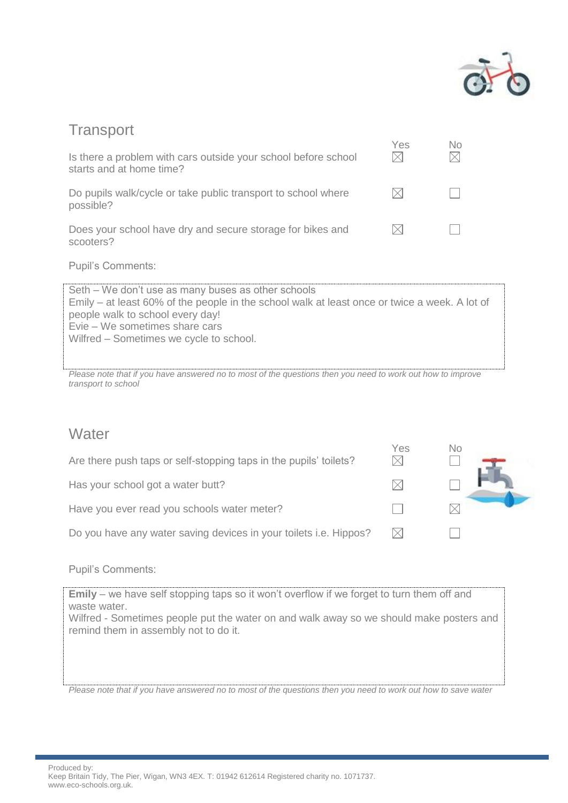

#### **Transport**

| Is there a problem with cars outside your school before school<br>starts and at home time? | Yes | Nο |
|--------------------------------------------------------------------------------------------|-----|----|
| Do pupils walk/cycle or take public transport to school where<br>possible?                 |     |    |
| Does your school have dry and secure storage for bikes and<br>scooters?                    |     |    |

Pupil's Comments:

Seth – We don't use as many buses as other schools Emily – at least 60% of the people in the school walk at least once or twice a week. A lot of people walk to school every day! Evie – We sometimes share cars Wilfred – Sometimes we cycle to school.

*Please note that if you have answered no to most of the questions then you need to work out how to improve transport to school*

#### **Water**

| Are there push taps or self-stopping taps in the pupils' toilets? | Yes | No |
|-------------------------------------------------------------------|-----|----|
| Has your school got a water butt?                                 | IX  |    |
| Have you ever read you schools water meter?                       |     |    |
| Do you have any water saving devices in your toilets i.e. Hippos? |     |    |

Pupil's Comments:

**Emily** – we have self stopping taps so it won't overflow if we forget to turn them off and waste water.

Wilfred - Sometimes people put the water on and walk away so we should make posters and remind them in assembly not to do it.

*Please note that if you have answered no to most of the questions then you need to work out how to save water*